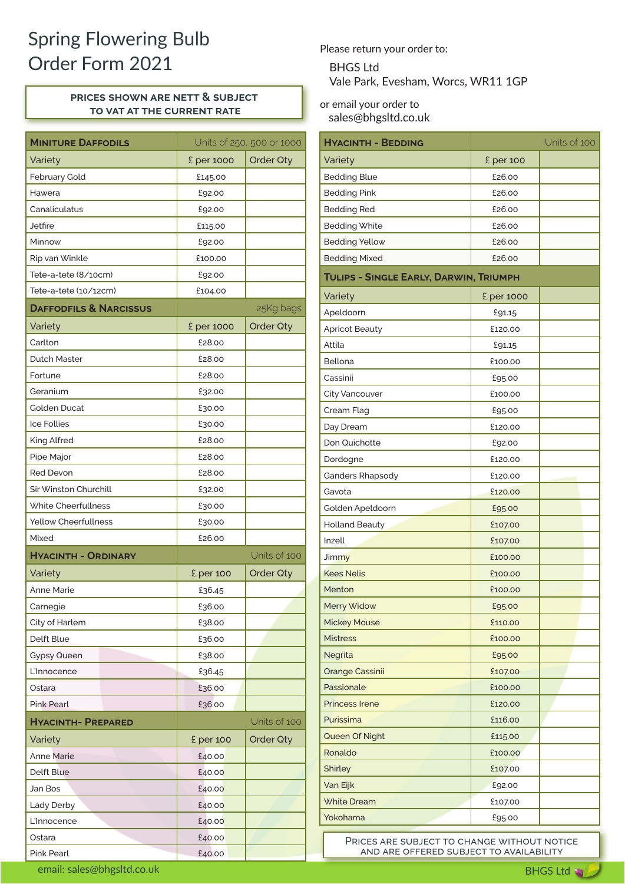## Spring Flowering Bulb Order Form 2021 BHGS Ltd

## **prices shown are nett & subject to vat at the current rate**

| <b>MINITURE DAFFODILS</b>         |            | Units of 250, 500 or 1000 |  |
|-----------------------------------|------------|---------------------------|--|
| Variety                           | £ per 1000 | Order Qty                 |  |
| February Gold                     | £145.00    |                           |  |
| Hawera                            | £92.00     |                           |  |
| Canaliculatus                     | £92.00     |                           |  |
| Jetfire                           | £115.00    |                           |  |
| Minnow                            | £92.00     |                           |  |
| Rip van Winkle                    | £100.00    |                           |  |
| Tete-a-tete (8/10cm)              | £92.00     |                           |  |
| Tete-a-tete (10/12cm)             | £104.00    |                           |  |
| <b>DAFFODFILS &amp; NARCISSUS</b> |            | 25Kg bags                 |  |
| Variety                           | £ per 1000 | <b>Order Qty</b>          |  |
| Carlton                           | £28.00     |                           |  |
| <b>Dutch Master</b>               | £28.00     |                           |  |
| Fortune                           | £28.00     |                           |  |
| Geranium                          | £32.00     |                           |  |
| <b>Golden Ducat</b>               | £30.00     |                           |  |
| <b>Ice Follies</b>                | £30.00     |                           |  |
| King Alfred                       | £28.00     |                           |  |
| Pipe Major                        | £28.00     |                           |  |
| <b>Red Devon</b>                  | £28.00     |                           |  |
| Sir Winston Churchill             | £32.00     |                           |  |
| White Cheerfullness               | £30.00     |                           |  |
| <b>Yellow Cheerfullness</b>       | £30.00     |                           |  |
| Mixed                             | £26.00     |                           |  |
| <b>HYACINTH - ORDINARY</b>        |            | Units of 100              |  |
| Variety                           | £ per 100  | <b>Order Qty</b>          |  |
| <b>Anne Marie</b>                 | £36.45     |                           |  |
| Carnegie                          | £36.00     |                           |  |
| City of Harlem                    | £38.00     |                           |  |
| Delft Blue                        | £36.00     |                           |  |
| <b>Gypsy Queen</b>                | £38.00     |                           |  |
| L'Innocence                       | £36.45     |                           |  |
| Ostara                            | £36.00     |                           |  |
| <b>Pink Pearl</b>                 | £36.00     |                           |  |
| <b>HYACINTH- PREPARED</b>         |            | Units of 100              |  |
| Variety                           | £ per 100  | Order Qty                 |  |
| <b>Anne Marie</b>                 | £40.00     |                           |  |
| Delft Blue                        | £40.00     |                           |  |
| Jan Bos                           | £40.00     |                           |  |
| Lady Derby                        | £40.00     |                           |  |
| L'Innocence                       | £40.00     |                           |  |
| Ostara                            | £40.00     |                           |  |
| Pink Pearl                        | £40.00     |                           |  |

Please return your order to:

Vale Park, Evesham, Worcs, WR11 1GP

or email your order to sales@bhgsltd.co.uk

| <b>HYACINTH - BEDDING</b>              |            | Units of 100 |  |  |  |  |  |
|----------------------------------------|------------|--------------|--|--|--|--|--|
| Variety                                | £ per 100  |              |  |  |  |  |  |
| <b>Bedding Blue</b>                    | £26.00     |              |  |  |  |  |  |
| <b>Bedding Pink</b>                    | £26.00     |              |  |  |  |  |  |
| <b>Bedding Red</b>                     | £26.00     |              |  |  |  |  |  |
| <b>Bedding White</b>                   | £26.00     |              |  |  |  |  |  |
| <b>Bedding Yellow</b>                  | £26.00     |              |  |  |  |  |  |
| <b>Bedding Mixed</b>                   | £26.00     |              |  |  |  |  |  |
| TULIPS - SINGLE EARLY, DARWIN, TRIUMPH |            |              |  |  |  |  |  |
| Variety                                | £ per 1000 |              |  |  |  |  |  |
| Apeldoorn                              | £91.15     |              |  |  |  |  |  |
| <b>Apricot Beauty</b>                  | £120.00    |              |  |  |  |  |  |
| Attila                                 | £91.15     |              |  |  |  |  |  |
| Bellona                                | £100.00    |              |  |  |  |  |  |
| Cassinii                               | £95.00     |              |  |  |  |  |  |
| <b>City Vancouver</b>                  | £100.00    |              |  |  |  |  |  |
| Cream Flag                             | £95.00     |              |  |  |  |  |  |
| Day Dream                              | £120.00    |              |  |  |  |  |  |
| Don Quichotte                          | £92.00     |              |  |  |  |  |  |
| Dordogne                               | £120.00    |              |  |  |  |  |  |
| Ganders Rhapsody                       | £120.00    |              |  |  |  |  |  |
| Gavota                                 | £120.00    |              |  |  |  |  |  |
| Golden Apeldoorn                       | £95.00     |              |  |  |  |  |  |
| <b>Holland Beauty</b>                  | £107.00    |              |  |  |  |  |  |
| Inzell                                 | £107.00    |              |  |  |  |  |  |
| Jimmy                                  | £100.00    |              |  |  |  |  |  |
| <b>Kees Nelis</b>                      | £100.00    |              |  |  |  |  |  |
| Menton                                 | £100.00    |              |  |  |  |  |  |
| Merry Widow                            | £95.00     |              |  |  |  |  |  |
| <b>Mickey Mouse</b>                    | £110.00    |              |  |  |  |  |  |
| <b>Mistress</b>                        | £100.00    |              |  |  |  |  |  |
| Negrita                                | £95.00     |              |  |  |  |  |  |
| <b>Orange Cassinii</b>                 | £107.00    |              |  |  |  |  |  |
| Passionale                             | £100.00    |              |  |  |  |  |  |
| <b>Princess Irene</b>                  | £120.00    |              |  |  |  |  |  |
| Purissima                              | £116.00    |              |  |  |  |  |  |
| Queen Of Night                         | £115.00    |              |  |  |  |  |  |
| Ronaldo                                | £100.00    |              |  |  |  |  |  |
| <b>Shirley</b>                         | £107.00    |              |  |  |  |  |  |
| Van Eijk                               | £92.00     |              |  |  |  |  |  |
| <b>White Dream</b>                     | £107.00    |              |  |  |  |  |  |
| Yokohama                               | £95.00     |              |  |  |  |  |  |

PRICES ARE SUBJECT TO CHANGE WITHOUT NOTICE and are offered subject to availability

email: sales@bhgsltd.co.uk and a state of the state of the state of the state of the state of the BHGS Ltd